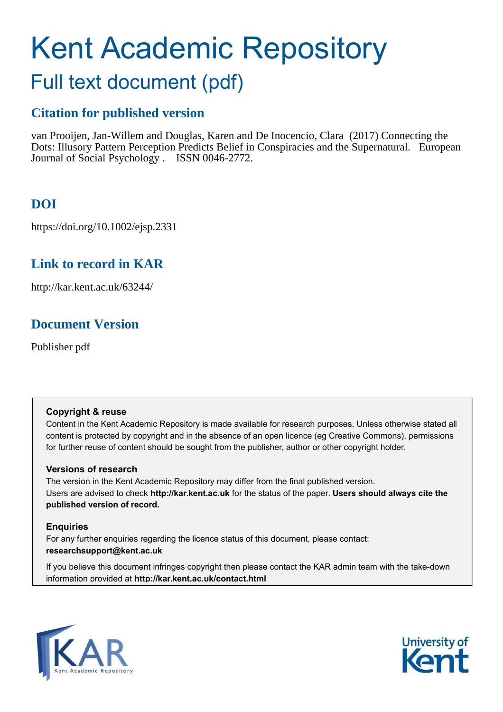# Kent Academic Repository

## Full text document (pdf)

## **Citation for published version**

van Prooijen, Jan-Willem and Douglas, Karen and De Inocencio, Clara (2017) Connecting the Dots: Illusory Pattern Perception Predicts Belief in Conspiracies and the Supernatural. European Journal of Social Psychology . ISSN 0046-2772.

## **DOI**

https://doi.org/10.1002/ejsp.2331

## **Link to record in KAR**

http://kar.kent.ac.uk/63244/

## **Document Version**

Publisher pdf

#### **Copyright & reuse**

Content in the Kent Academic Repository is made available for research purposes. Unless otherwise stated all content is protected by copyright and in the absence of an open licence (eg Creative Commons), permissions for further reuse of content should be sought from the publisher, author or other copyright holder.

#### **Versions of research**

The version in the Kent Academic Repository may differ from the final published version. Users are advised to check **http://kar.kent.ac.uk** for the status of the paper. **Users should always cite the published version of record.**

#### **Enquiries**

For any further enquiries regarding the licence status of this document, please contact: **researchsupport@kent.ac.uk**

If you believe this document infringes copyright then please contact the KAR admin team with the take-down information provided at **http://kar.kent.ac.uk/contact.html**



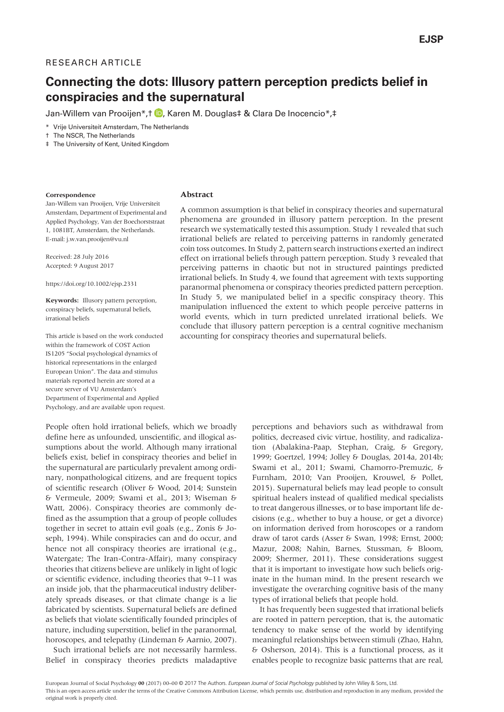#### RESEARCH ARTICLE

### Connecting the dots: Illusory pattern perception predicts belief in conspiracies and the supernatural

Jan-Willem van Prooijen\*, † D, Karen M. Douglas‡ & Clara De Inocencio\*, ‡

\* Vrije Universiteit Amsterdam, The Netherlands

† The NSCR, The Netherlands

‡ The University of Kent, United Kingdom

#### Correspondence

Jan-Willem van Prooijen, Vrije Universiteit Amsterdam, Department of Experimental and Applied Psychology, Van der Boechorststraat 1, 1081BT, Amsterdam, the Netherlands. E-mail: j.w.van.prooijen@vu.nl

Received: 28 July 2016 Accepted: 9 August 2017

<https://doi.org/10.1002/ejsp.2331>

Keywords: Illusory pattern perception, conspiracy beliefs, supernatural beliefs, irrational beliefs

This article is based on the work conducted within the framework of COST Action IS1205 "Social psychological dynamics of historical representations in the enlarged European Union". The data and stimulus materials reported herein are stored at a secure server of VU Amsterdam's Department of Experimental and Applied Psychology, and are available upon request.

People often hold irrational beliefs, which we broadly define here as unfounded, unscientific, and illogical assumptions about the world. Although many irrational beliefs exist, belief in conspiracy theories and belief in the supernatural are particularly prevalent among ordinary, nonpathological citizens, and are frequent topics of scientific research (Oliver & Wood, 2014; Sunstein & Vermeule, 2009; Swami et al., 2013; Wiseman & Watt, 2006). Conspiracy theories are commonly defined as the assumption that a group of people colludes together in secret to attain evil goals (e.g., Zonis & Joseph, 1994). While conspiracies can and do occur, and hence not all conspiracy theories are irrational (e.g., Watergate; The Iran-Contra-Affair), many conspiracy theories that citizens believe are unlikely in light of logic or scientific evidence, including theories that 9–11 was an inside job, that the pharmaceutical industry deliberately spreads diseases, or that climate change is a lie fabricated by scientists. Supernatural beliefs are defined as beliefs that violate scientifically founded principles of nature, including superstition, belief in the paranormal, horoscopes, and telepathy (Lindeman & Aarnio, 2007).

Such irrational beliefs are not necessarily harmless. Belief in conspiracy theories predicts maladaptive

#### Abstract

A common assumption is that belief in conspiracy theories and supernatural phenomena are grounded in illusory pattern perception. In the present research we systematically tested this assumption. Study 1 revealed that such irrational beliefs are related to perceiving patterns in randomly generated coin toss outcomes. In Study 2, pattern search instructions exerted an indirect effect on irrational beliefs through pattern perception. Study 3 revealed that perceiving patterns in chaotic but not in structured paintings predicted irrational beliefs. In Study 4, we found that agreement with texts supporting paranormal phenomena or conspiracy theories predicted pattern perception. In Study 5, we manipulated belief in a specific conspiracy theory. This manipulation influenced the extent to which people perceive patterns in world events, which in turn predicted unrelated irrational beliefs. We conclude that illusory pattern perception is a central cognitive mechanism accounting for conspiracy theories and supernatural beliefs.

> perceptions and behaviors such as withdrawal from politics, decreased civic virtue, hostility, and radicalization (Abalakina-Paap, Stephan, Craig, & Gregory, 1999; Goertzel, 1994; Jolley & Douglas, 2014a, 2014b; Swami et al., 2011; Swami, Chamorro-Premuzic, & Furnham, 2010; Van Prooijen, Krouwel, & Pollet, 2015). Supernatural beliefs may lead people to consult spiritual healers instead of qualified medical specialists to treat dangerous illnesses, or to base important life decisions (e.g., whether to buy a house, or get a divorce) on information derived from horoscopes or a random draw of tarot cards (Asser & Swan, 1998; Ernst, 2000; Mazur, 2008; Nahin, Barnes, Stussman, & Bloom, 2009; Shermer, 2011). These considerations suggest that it is important to investigate how such beliefs originate in the human mind. In the present research we investigate the overarching cognitive basis of the many types of irrational beliefs that people hold.

> It has frequently been suggested that irrational beliefs are rooted in pattern perception, that is, the automatic tendency to make sense of the world by identifying meaningful relationships between stimuli (Zhao, Hahn, & Osherson, 2014). This is a functional process, as it enables people to recognize basic patterns that are real,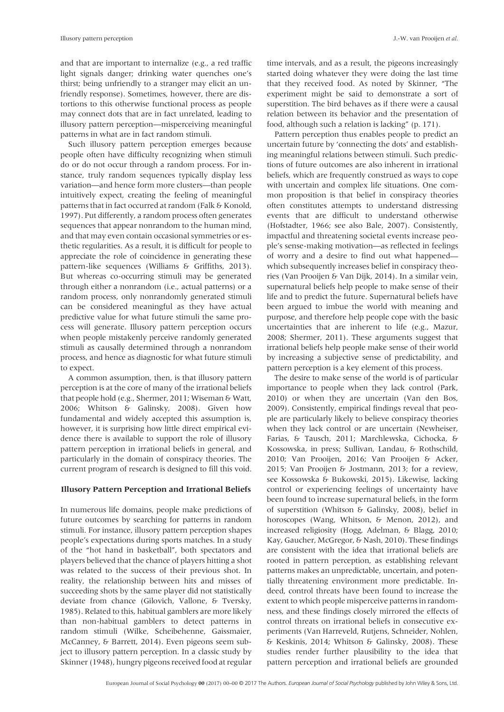and that are important to internalize (e.g., a red traffic light signals danger; drinking water quenches one's thirst; being unfriendly to a stranger may elicit an unfriendly response). Sometimes, however, there are distortions to this otherwise functional process as people may connect dots that are in fact unrelated, leading to illusory pattern perception—misperceiving meaningful

patterns in what are in fact random stimuli. Such illusory pattern perception emerges because people often have difficulty recognizing when stimuli do or do not occur through a random process. For instance, truly random sequences typically display less variation—and hence form more clusters—than people intuitively expect, creating the feeling of meaningful patterns that in fact occurred at random (Falk & Konold, 1997). Put differently, a random process often generates sequences that appear nonrandom to the human mind, and that may even contain occasional symmetries or esthetic regularities. As a result, it is difficult for people to appreciate the role of coincidence in generating these pattern-like sequences (Williams & Griffiths, 2013). But whereas co-occurring stimuli may be generated through either a nonrandom (i.e., actual patterns) or a random process, only nonrandomly generated stimuli can be considered meaningful as they have actual predictive value for what future stimuli the same process will generate. Illusory pattern perception occurs when people mistakenly perceive randomly generated stimuli as causally determined through a nonrandom process, and hence as diagnostic for what future stimuli to expect.

A common assumption, then, is that illusory pattern perception is at the core of many of the irrational beliefs that people hold (e.g., Shermer, 2011; Wiseman & Watt, 2006; Whitson & Galinsky, 2008). Given how fundamental and widely accepted this assumption is, however, it is surprising how little direct empirical evidence there is available to support the role of illusory pattern perception in irrational beliefs in general, and particularly in the domain of conspiracy theories. The current program of research is designed to fill this void.

#### Illusory Pattern Perception and Irrational Beliefs

In numerous life domains, people make predictions of future outcomes by searching for patterns in random stimuli. For instance, illusory pattern perception shapes people's expectations during sports matches. In a study of the "hot hand in basketball", both spectators and players believed that the chance of players hitting a shot was related to the success of their previous shot. In reality, the relationship between hits and misses of succeeding shots by the same player did not statistically deviate from chance (Gilovich, Vallone, & Tversky, 1985). Related to this, habitual gamblers are more likely than non-habitual gamblers to detect patterns in random stimuli (Wilke, Scheibehenne, Gaissmaier, McCanney, & Barrett, 2014). Even pigeons seem subject to illusory pattern perception. In a classic study by Skinner (1948), hungry pigeons received food at regular

Pattern perception thus enables people to predict an uncertain future by 'connecting the dots' and establishing meaningful relations between stimuli. Such predictions of future outcomes are also inherent in irrational beliefs, which are frequently construed as ways to cope with uncertain and complex life situations. One common proposition is that belief in conspiracy theories often constitutes attempts to understand distressing events that are difficult to understand otherwise (Hofstadter, 1966; see also Bale, 2007). Consistently, impactful and threatening societal events increase people's sense-making motivation—as reflected in feelings of worry and a desire to find out what happened which subsequently increases belief in conspiracy theories (Van Prooijen & Van Dijk, 2014). In a similar vein, supernatural beliefs help people to make sense of their life and to predict the future. Supernatural beliefs have been argued to imbue the world with meaning and purpose, and therefore help people cope with the basic uncertainties that are inherent to life (e.g., Mazur, 2008; Shermer, 2011). These arguments suggest that irrational beliefs help people make sense of their world by increasing a subjective sense of predictability, and pattern perception is a key element of this process.

The desire to make sense of the world is of particular importance to people when they lack control (Park, 2010) or when they are uncertain (Van den Bos, 2009). Consistently, empirical findings reveal that people are particularly likely to believe conspiracy theories when they lack control or are uncertain (Newheiser, Farias, & Tausch, 2011; Marchlewska, Cichocka, & Kossowska, in press; Sullivan, Landau, & Rothschild, 2010; Van Prooijen, 2016; Van Prooijen & Acker, 2015; Van Prooijen & Jostmann, 2013; for a review, see Kossowska & Bukowski, 2015). Likewise, lacking control or experiencing feelings of uncertainty have been found to increase supernatural beliefs, in the form of superstition (Whitson & Galinsky, 2008), belief in horoscopes (Wang, Whitson, & Menon, 2012), and increased religiosity (Hogg, Adelman, & Blagg, 2010; Kay, Gaucher, McGregor, & Nash, 2010). These findings are consistent with the idea that irrational beliefs are rooted in pattern perception, as establishing relevant patterns makes an unpredictable, uncertain, and potentially threatening environment more predictable. Indeed, control threats have been found to increase the extent to which people misperceive patterns in randomness, and these findings closely mirrored the effects of control threats on irrational beliefs in consecutive experiments (Van Harreveld, Rutjens, Schneider, Nohlen, & Keskinis, 2014; Whitson & Galinsky, 2008). These studies render further plausibility to the idea that pattern perception and irrational beliefs are grounded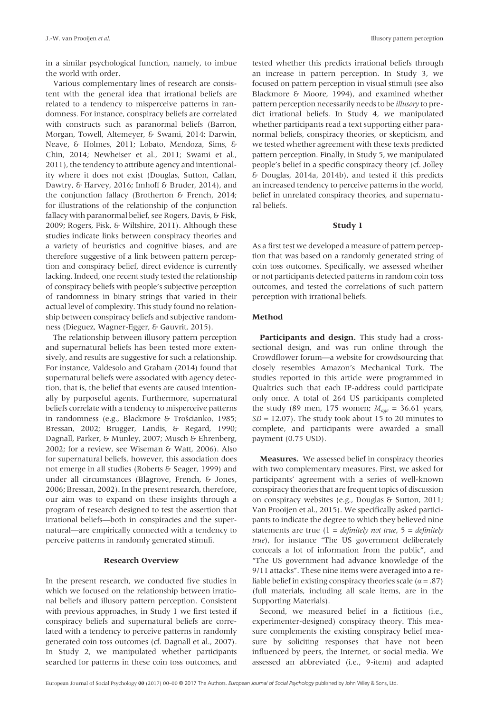in a similar psychological function, namely, to imbue the world with order.

Various complementary lines of research are consistent with the general idea that irrational beliefs are related to a tendency to misperceive patterns in randomness. For instance, conspiracy beliefs are correlated with constructs such as paranormal beliefs (Barron, Morgan, Towell, Altemeyer, & Swami, 2014; Darwin, Neave, & Holmes, 2011; Lobato, Mendoza, Sims, & Chin, 2014; Newheiser et al., 2011; Swami et al., 2011), the tendency to attribute agency and intentionality where it does not exist (Douglas, Sutton, Callan, Dawtry, & Harvey, 2016; Imhoff & Bruder, 2014), and the conjunction fallacy (Brotherton & French, 2014; for illustrations of the relationship of the conjunction fallacy with paranormal belief, see Rogers, Davis, & Fisk, 2009; Rogers, Fisk, & Wiltshire, 2011). Although these studies indicate links between conspiracy theories and a variety of heuristics and cognitive biases, and are therefore suggestive of a link between pattern perception and conspiracy belief, direct evidence is currently lacking. Indeed, one recent study tested the relationship of conspiracy beliefs with people's subjective perception of randomness in binary strings that varied in their actual level of complexity. This study found no relationship between conspiracy beliefs and subjective randomness (Dieguez, Wagner-Egger, & Gauvrit, 2015).

The relationship between illusory pattern perception and supernatural beliefs has been tested more extensively, and results are suggestive for such a relationship. For instance, Valdesolo and Graham (2014) found that supernatural beliefs were associated with agency detection, that is, the belief that events are caused intentionally by purposeful agents. Furthermore, supernatural beliefs correlate with a tendency to misperceive patterns in randomness (e.g., Blackmore & Trościanko, 1985; Bressan, 2002; Brugger, Landis, & Regard, 1990; Dagnall, Parker, & Munley, 2007; Musch & Ehrenberg, 2002; for a review, see Wiseman & Watt, 2006). Also for supernatural beliefs, however, this association does not emerge in all studies (Roberts & Seager, 1999) and under all circumstances (Blagrove, French, & Jones, 2006; Bressan, 2002). In the present research, therefore, our aim was to expand on these insights through a program of research designed to test the assertion that irrational beliefs—both in conspiracies and the supernatural—are empirically connected with a tendency to perceive patterns in randomly generated stimuli.

#### Research Overview

In the present research, we conducted five studies in which we focused on the relationship between irrational beliefs and illusory pattern perception. Consistent with previous approaches, in Study 1 we first tested if conspiracy beliefs and supernatural beliefs are correlated with a tendency to perceive patterns in randomly generated coin toss outcomes (cf. Dagnall et al., 2007). In Study 2, we manipulated whether participants searched for patterns in these coin toss outcomes, and tested whether this predicts irrational beliefs through an increase in pattern perception. In Study 3, we focused on pattern perception in visual stimuli (see also Blackmore & Moore, 1994), and examined whether pattern perception necessarily needs to be illusory to predict irrational beliefs. In Study 4, we manipulated whether participants read a text supporting either paranormal beliefs, conspiracy theories, or skepticism, and we tested whether agreement with these texts predicted pattern perception. Finally, in Study 5, we manipulated people's belief in a specific conspiracy theory (cf. Jolley & Douglas, 2014a, 2014b), and tested if this predicts an increased tendency to perceive patterns in the world, belief in unrelated conspiracy theories, and supernatural beliefs.

#### Study 1

As a first test we developed a measure of pattern perception that was based on a randomly generated string of coin toss outcomes. Specifically, we assessed whether or not participants detected patterns in random coin toss outcomes, and tested the correlations of such pattern perception with irrational beliefs.

#### Method

Participants and design. This study had a crosssectional design, and was run online through the Crowdflower forum—a website for crowdsourcing that closely resembles Amazon's Mechanical Turk. The studies reported in this article were programmed in Qualtrics such that each IP-address could participate only once. A total of 264 US participants completed the study (89 men, 175 women;  $M_{age} = 36.61$  years,  $SD = 12.07$ ). The study took about 15 to 20 minutes to complete, and participants were awarded a small payment (0.75 USD).

Measures. We assessed belief in conspiracy theories with two complementary measures. First, we asked for participants' agreement with a series of well-known conspiracy theories that are frequent topics of discussion on conspiracy websites (e.g., Douglas & Sutton, 2011; Van Prooijen et al., 2015). We specifically asked participants to indicate the degree to which they believed nine statements are true  $(1 = \text{definitely not true}, 5 = \text{definitely}$ true), for instance "The US government deliberately conceals a lot of information from the public", and "The US government had advance knowledge of the 9/11 attacks". These nine items were averaged into a reliable belief in existing conspiracy theories scale ( $\alpha = .87$ ) (full materials, including all scale items, are in the Supporting Materials).

Second, we measured belief in a fictitious (i.e., experimenter-designed) conspiracy theory. This measure complements the existing conspiracy belief measure by soliciting responses that have not been influenced by peers, the Internet, or social media. We assessed an abbreviated (i.e., 9-item) and adapted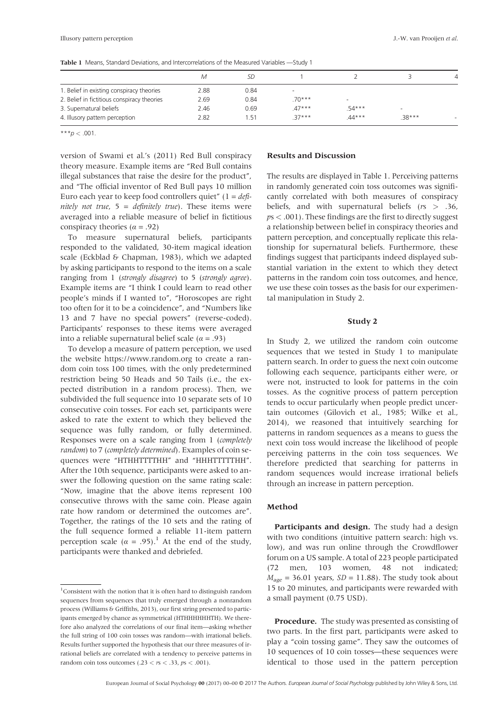|  |  |  | Table 1 Means, Standard Deviations, and Intercorrelations of the Measured Variables -Study 1 |
|--|--|--|----------------------------------------------------------------------------------------------|
|--|--|--|----------------------------------------------------------------------------------------------|

|                                             | М    | SD   |                          |          |                          | Δ |
|---------------------------------------------|------|------|--------------------------|----------|--------------------------|---|
| 1. Belief in existing conspiracy theories   | 2.88 | 0.84 | $\overline{\phantom{a}}$ |          |                          |   |
| 2. Belief in fictitious conspiracy theories | 2.69 | 0.84 | $70***$                  |          |                          |   |
| 3. Supernatural beliefs                     | 2.46 | 0.69 | $47***$                  | $.54***$ | $\overline{\phantom{a}}$ |   |
| 4. Illusory pattern perception              | 2.82 | 1.51 | $37***$                  | $.44***$ | $38***$                  |   |

\*\*\* $p < .001$ .

version of Swami et al.'s (2011) Red Bull conspiracy theory measure. Example items are "Red Bull contains illegal substances that raise the desire for the product", and "The official inventor of Red Bull pays 10 million Euro each year to keep food controllers quiet"  $(1 = def -1)$ nitely not true,  $5 =$  definitely true). These items were averaged into a reliable measure of belief in fictitious conspiracy theories ( $\alpha$  = .92)

To measure supernatural beliefs, participants responded to the validated, 30-item magical ideation scale (Eckblad & Chapman, 1983), which we adapted by asking participants to respond to the items on a scale ranging from 1 (strongly disagree) to 5 (strongly agree). Example items are "I think I could learn to read other people's minds if I wanted to", "Horoscopes are right too often for it to be a coincidence", and "Numbers like 13 and 7 have no special powers" (reverse-coded). Participants' responses to these items were averaged into a reliable supernatural belief scale ( $\alpha$  = .93)

To develop a measure of pattern perception, we used the website<https://www.random.org> to create a random coin toss 100 times, with the only predetermined restriction being 50 Heads and 50 Tails (i.e., the expected distribution in a random process). Then, we subdivided the full sequence into 10 separate sets of 10 consecutive coin tosses. For each set, participants were asked to rate the extent to which they believed the sequence was fully random, or fully determined. Responses were on a scale ranging from 1 (completely random) to 7 (completely determined). Examples of coin sequences were "HTHHTTTTHH" and "HHHTTTTTHH". After the 10th sequence, participants were asked to answer the following question on the same rating scale: "Now, imagine that the above items represent 100 consecutive throws with the same coin. Please again rate how random or determined the outcomes are". Together, the ratings of the 10 sets and the rating of the full sequence formed a reliable 11-item pattern perception scale ( $\alpha = .95$ ).<sup>1</sup> At the end of the study, participants were thanked and debriefed.

#### Results and Discussion

The results are displayed in Table 1. Perceiving patterns in randomly generated coin toss outcomes was significantly correlated with both measures of conspiracy beliefs, and with supernatural beliefs  $(rs > .36)$ ,  $ps < .001$ ). These findings are the first to directly suggest a relationship between belief in conspiracy theories and pattern perception, and conceptually replicate this relationship for supernatural beliefs. Furthermore, these findings suggest that participants indeed displayed substantial variation in the extent to which they detect patterns in the random coin toss outcomes, and hence, we use these coin tosses as the basis for our experimental manipulation in Study 2.

#### Study 2

In Study 2, we utilized the random coin outcome sequences that we tested in Study 1 to manipulate pattern search. In order to guess the next coin outcome following each sequence, participants either were, or were not, instructed to look for patterns in the coin tosses. As the cognitive process of pattern perception tends to occur particularly when people predict uncertain outcomes (Gilovich et al., 1985; Wilke et al., 2014), we reasoned that intuitively searching for patterns in random sequences as a means to guess the next coin toss would increase the likelihood of people perceiving patterns in the coin toss sequences. We therefore predicted that searching for patterns in random sequences would increase irrational beliefs through an increase in pattern perception.

#### Method

Participants and design. The study had a design with two conditions (intuitive pattern search: high vs. low), and was run online through the Crowdflower forum on a US sample. A total of 223 people participated (72 men, 103 women, 48 not indicated;  $M<sub>age</sub> = 36.01$  years,  $SD = 11.88$ ). The study took about 15 to 20 minutes, and participants were rewarded with a small payment (0.75 USD).

**Procedure.** The study was presented as consisting of two parts. In the first part, participants were asked to play a "coin tossing game". They saw the outcomes of 10 sequences of 10 coin tosses—these sequences were identical to those used in the pattern perception

<sup>&</sup>lt;sup>1</sup>Consistent with the notion that it is often hard to distinguish random sequences from sequences that truly emerged through a nonrandom process (Williams & Griffiths, 2013), our first string presented to participants emerged by chance as symmetrical (HTHHHHHHTH). We therefore also analyzed the correlations of our final item—asking whether the full string of 100 coin tosses was random—with irrational beliefs. Results further supported the hypothesis that our three measures of irrational beliefs are correlated with a tendency to perceive patterns in random coin toss outcomes  $(.23 < rs < .33, ps < .001)$ .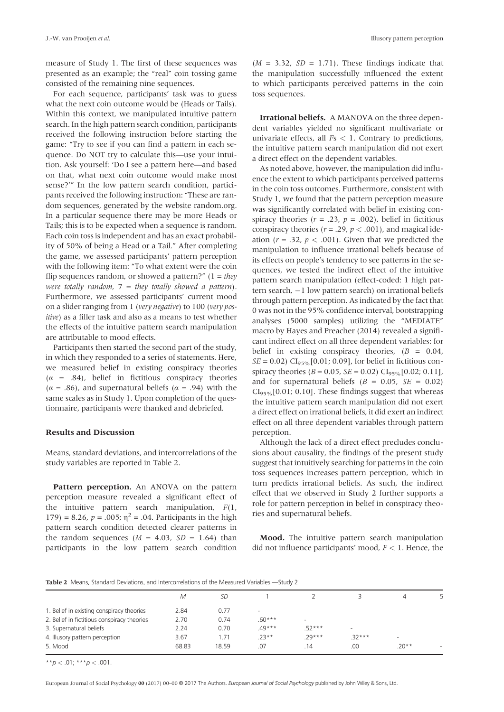measure of Study 1. The first of these sequences was presented as an example; the "real" coin tossing game consisted of the remaining nine sequences.

For each sequence, participants' task was to guess what the next coin outcome would be (Heads or Tails). Within this context, we manipulated intuitive pattern search. In the high pattern search condition, participants received the following instruction before starting the game: "Try to see if you can find a pattern in each sequence. Do NOT try to calculate this—use your intuition. Ask yourself: 'Do I see a pattern here—and based on that, what next coin outcome would make most sense?'" In the low pattern search condition, participants received the following instruction: "These are random sequences, generated by the website [random.org](http://random.org). In a particular sequence there may be more Heads or Tails; this is to be expected when a sequence is random. Each coin toss is independent and has an exact probability of 50% of being a Head or a Tail." After completing the game, we assessed participants' pattern perception with the following item: "To what extent were the coin flip sequences random, or showed a pattern?"  $(1 = they$ were totally random,  $7 =$  they totally showed a pattern). Furthermore, we assessed participants' current mood on a slider ranging from 1 (very negative) to 100 (very positive) as a filler task and also as a means to test whether the effects of the intuitive pattern search manipulation are attributable to mood effects.

Participants then started the second part of the study, in which they responded to a series of statements. Here, we measured belief in existing conspiracy theories  $(\alpha = .84)$ , belief in fictitious conspiracy theories  $(\alpha = .86)$ , and supernatural beliefs  $(\alpha = .94)$  with the same scales as in Study 1. Upon completion of the questionnaire, participants were thanked and debriefed.

#### Results and Discussion

Means, standard deviations, and intercorrelations of the study variables are reported in Table 2.

Pattern perception. An ANOVA on the pattern perception measure revealed a significant effect of the intuitive pattern search manipulation,  $F(1,$ 179) = 8.26, *p* = .005; η<sup>2</sup> = .04. Participants in the high pattern search condition detected clearer patterns in the random sequences ( $M = 4.03$ ,  $SD = 1.64$ ) than participants in the low pattern search condition

 $(M = 3.32, SD = 1.71)$ . These findings indicate that the manipulation successfully influenced the extent to which participants perceived patterns in the coin toss sequences.

Irrational beliefs. A MANOVA on the three dependent variables yielded no significant multivariate or univariate effects, all  $Fs < 1$ . Contrary to predictions, the intuitive pattern search manipulation did not exert a direct effect on the dependent variables.

As noted above, however, the manipulation did influence the extent to which participants perceived patterns in the coin toss outcomes. Furthermore, consistent with Study 1, we found that the pattern perception measure was significantly correlated with belief in existing conspiracy theories ( $r = .23$ ,  $p = .002$ ), belief in fictitious conspiracy theories ( $r = .29$ ,  $p < .001$ ), and magical ideation ( $r = .32$ ,  $p < .001$ ). Given that we predicted the manipulation to influence irrational beliefs because of its effects on people's tendency to see patterns in the sequences, we tested the indirect effect of the intuitive pattern search manipulation (effect-coded: 1 high pattern search,  $-1$  low pattern search) on irrational beliefs through pattern perception. As indicated by the fact that 0 was not in the 95% confidence interval, bootstrapping analyses (5000 samples) utilizing the "MEDIATE" macro by Hayes and Preacher (2014) revealed a significant indirect effect on all three dependent variables: for belief in existing conspiracy theories,  $(B = 0.04,$  $SE = 0.02$ ) CI<sub>95%</sub>[0.01; 0.09], for belief in fictitious conspiracy theories ( $B = 0.05$ ,  $SE = 0.02$ ) CI<sub>95%</sub>[0.02; 0.11], and for supernatural beliefs ( $B = 0.05$ ,  $SE = 0.02$ )  $CI<sub>95%</sub>[0.01; 0.10]$ . These findings suggest that whereas the intuitive pattern search manipulation did not exert a direct effect on irrational beliefs, it did exert an indirect effect on all three dependent variables through pattern perception.

Although the lack of a direct effect precludes conclusions about causality, the findings of the present study suggest that intuitively searching for patterns in the coin toss sequences increases pattern perception, which in turn predicts irrational beliefs. As such, the indirect effect that we observed in Study 2 further supports a role for pattern perception in belief in conspiracy theories and supernatural beliefs.

Mood. The intuitive pattern search manipulation did not influence participants' mood,  $F < 1$ . Hence, the

Table 2 Means, Standard Deviations, and Intercorrelations of the Measured Variables —Study 2

| M     | SD    |                          |         |                          | 4      |  |
|-------|-------|--------------------------|---------|--------------------------|--------|--|
| 2.84  | 0.77  | $\overline{\phantom{0}}$ |         |                          |        |  |
| 2.70  | 0.74  | $.60***$                 |         |                          |        |  |
| 2.24  | 0.70  | $49***$                  | $52***$ | $\overline{\phantom{0}}$ |        |  |
| 3.67  | 1.71  | $73**$                   | $79***$ | $.32***$                 | -      |  |
| 68.83 | 18.59 | .07                      | .14     | .00                      | $20**$ |  |
|       |       |                          |         |                          |        |  |

\*\* $p < .01;$ \*\*\* $p < .001$ .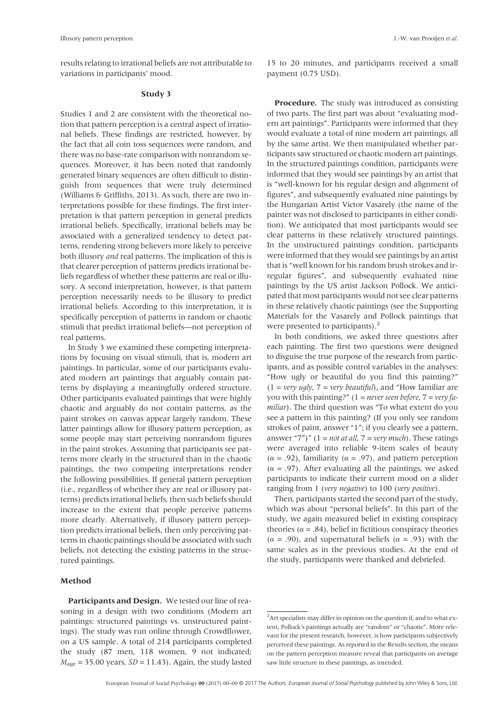results relating to irrational beliefs are not attributable to variations in participants' mood.

#### Study 3

Studies 1 and 2 are consistent with the theoretical notion that pattern perception is a central aspect of irrational beliefs. These findings are restricted, however, by the fact that all coin toss sequences were random, and there was no base-rate comparison with nonrandom sequences. Moreover, it has been noted that randomly generated binary sequences are often difficult to distinguish from sequences that were truly determined (Williams & Griffiths, 2013). As such, there are two interpretations possible for these findings. The first interpretation is that pattern perception in general predicts irrational beliefs. Specifically, irrational beliefs may be associated with a generalized tendency to detect patterns, rendering strong believers more likely to perceive both illusory and real patterns. The implication of this is that clearer perception of patterns predicts irrational beliefs regardless of whether these patterns are real or illusory. A second interpretation, however, is that pattern perception necessarily needs to be illusory to predict irrational beliefs. According to this interpretation, it is specifically perception of patterns in random or chaotic stimuli that predict irrational beliefs—not perception of real patterns.

In Study 3 we examined these competing interpretations by focusing on visual stimuli, that is, modern art paintings. In particular, some of our participants evaluated modern art paintings that arguably contain patterns by displaying a meaningfully ordered structure. Other participants evaluated paintings that were highly chaotic and arguably do not contain patterns, as the paint strokes on canvas appear largely random. These latter paintings allow for illusory pattern perception, as some people may start perceiving nonrandom figures in the paint strokes. Assuming that participants see patterns more clearly in the structured than in the chaotic paintings, the two competing interpretations render the following possibilities. If general pattern perception (i.e., regardless of whether they are real or illusory patterns) predicts irrational beliefs, then such beliefs should increase to the extent that people perceive patterns more clearly. Alternatively, if illusory pattern perception predicts irrational beliefs, then only perceiving patterns in chaotic paintings should be associated with such beliefs, not detecting the existing patterns in the structured paintings.

#### Method

Participants and Design. We tested our line of reasoning in a design with two conditions (Modern art paintings: structured paintings vs. unstructured paintings). The study was run online through Crowdflower, on a US sample. A total of 214 participants completed the study (87 men, 118 women, 9 not indicated;  $M<sub>age</sub> = 35.00 years, SD = 11.43$ . Again, the study lasted

15 to 20 minutes, and participants received a small payment (0.75 USD).

**Procedure.** The study was introduced as consisting of two parts. The first part was about "evaluating modern art paintings". Participants were informed that they would evaluate a total of nine modern art paintings, all by the same artist. We then manipulated whether participants saw structured or chaotic modern art paintings. In the structured paintings condition, participants were informed that they would see paintings by an artist that is "well-known for his regular design and alignment of figures", and subsequently evaluated nine paintings by the Hungarian Artist Victor Vasarely (the name of the painter was not disclosed to participants in either condition). We anticipated that most participants would see clear patterns in these relatively structured paintings. In the unstructured paintings condition, participants were informed that they would see paintings by an artist that is "well known for his random brush strokes and irregular figures", and subsequently evaluated nine paintings by the US artist Jackson Pollock. We anticipated that most participants would not see clear patterns in these relatively chaotic paintings (see the Supporting Materials for the Vasarely and Pollock paintings that were presented to participants). $<sup>2</sup>$ </sup>

In both conditions, we asked three questions after each painting. The first two questions were designed to disguise the true purpose of the research from participants, and as possible control variables in the analyses: "How ugly or beautiful do you find this painting?"  $(1 = very ugly, 7 = very beautiful)$ , and "How familiar are you with this painting?" (1 = never seen before, 7 = very familiar). The third question was "To what extent do you see a pattern in this painting? (If you only see random strokes of paint, answer "1"; if you clearly see a pattern, answer "7")" (1 = not at all, 7 = very much). These ratings were averaged into reliable 9-item scales of beauty  $(\alpha = .92)$ , familiarity  $(\alpha = .97)$ , and pattern perception  $(\alpha = .97)$ . After evaluating all the paintings, we asked participants to indicate their current mood on a slider ranging from 1 (very negative) to 100 (very positive).

Then, participants started the second part of the study, which was about "personal beliefs". In this part of the study, we again measured belief in existing conspiracy theories ( $\alpha$  = .84), belief in fictitious conspiracy theories  $(\alpha = .90)$ , and supernatural beliefs  $(\alpha = .93)$  with the same scales as in the previous studies. At the end of the study, participants were thanked and debriefed.

<sup>&</sup>lt;sup>2</sup>Art specialists may differ in opinion on the question if, and to what extent, Pollock's paintings actually are "random" or "chaotic". More relevant for the present research, however, is how participants subjectively perceived these paintings. As reported in the Results section, the means on the pattern perception measure reveal that participants on average saw little structure in these paintings, as intended.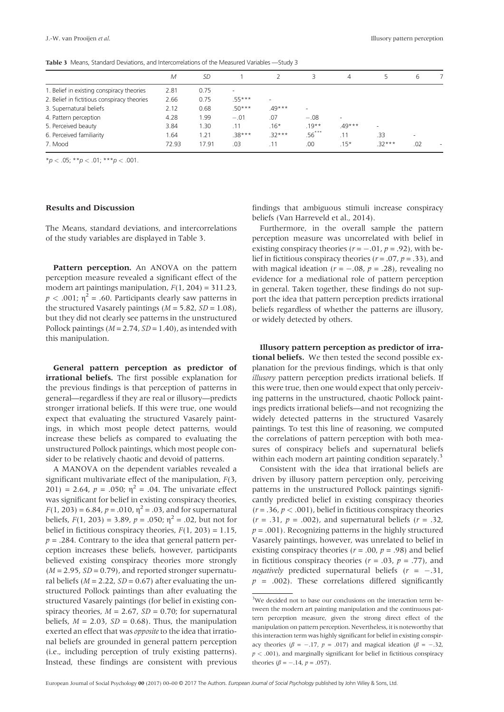Table 3 Means, Standard Deviations, and Intercorrelations of the Measured Variables -- Study 3

|                                             | M     | SD    |                          |                          |                          | 4                        | 5                        | 6                        |  |
|---------------------------------------------|-------|-------|--------------------------|--------------------------|--------------------------|--------------------------|--------------------------|--------------------------|--|
| 1. Belief in existing conspiracy theories   | 2.81  | 0.75  | $\overline{\phantom{0}}$ |                          |                          |                          |                          |                          |  |
| 2. Belief in fictitious conspiracy theories | 2.66  | 0.75  | $.55***$                 | $\overline{\phantom{a}}$ |                          |                          |                          |                          |  |
| 3. Supernatural beliefs                     | 2.12  | 0.68  | $.50***$                 | $.49***$                 | $\overline{\phantom{0}}$ |                          |                          |                          |  |
| 4. Pattern perception                       | 4.28  | 1.99  | $-.01$                   | .07                      | $-.08$                   | $\overline{\phantom{a}}$ |                          |                          |  |
| 5. Perceived beauty                         | 3.84  | 1.30  | .11                      | $.16*$                   | $.19**$                  | $.49***$                 | $\overline{\phantom{a}}$ |                          |  |
| 6. Perceived familiarity                    | 1.64  | 1.21  | $.38***$                 | $.32***$                 | $.56***$                 | .11                      | .33                      | $\overline{\phantom{0}}$ |  |
| 7. Mood                                     | 72.93 | 17.91 | .03                      | .11                      | .00                      | $.15*$                   | $.32***$                 | .02                      |  |

 $**p* < .05; ***p* < .01; ***p* < .001.$ 

#### Results and Discussion

The Means, standard deviations, and intercorrelations of the study variables are displayed in Table 3.

Pattern perception. An ANOVA on the pattern perception measure revealed a significant effect of the modern art paintings manipulation,  $F(1, 204) = 311.23$ ,  $p < .001$ ;  $\eta^2 = .60$ . Participants clearly saw patterns in the structured Vasarely paintings ( $M = 5.82$ ,  $SD = 1.08$ ), but they did not clearly see patterns in the unstructured Pollock paintings ( $M = 2.74$ ,  $SD = 1.40$ ), as intended with this manipulation.

General pattern perception as predictor of irrational beliefs. The first possible explanation for the previous findings is that perception of patterns in general—regardless if they are real or illusory—predicts stronger irrational beliefs. If this were true, one would expect that evaluating the structured Vasarely paintings, in which most people detect patterns, would increase these beliefs as compared to evaluating the unstructured Pollock paintings, which most people consider to be relatively chaotic and devoid of patterns.

A MANOVA on the dependent variables revealed a significant multivariate effect of the manipulation,  $F(3)$ , 201) = 2.64,  $p = .050$ ;  $\eta^2 = .04$ . The univariate effect was significant for belief in existing conspiracy theories,  $F(1, 203) = 6.84$ ,  $p = .010$ ,  $\eta^2 = .03$ , and for supernatural beliefs,  $F(1, 203) = 3.89$ ,  $p = .050$ ;  $\eta^2 = .02$ , but not for belief in fictitious conspiracy theories,  $F(1, 203) = 1.15$ ,  $p = .284$ . Contrary to the idea that general pattern perception increases these beliefs, however, participants believed existing conspiracy theories more strongly  $(M = 2.95, SD = 0.79)$ , and reported stronger supernatural beliefs ( $M = 2.22$ ,  $SD = 0.67$ ) after evaluating the unstructured Pollock paintings than after evaluating the structured Vasarely paintings (for belief in existing conspiracy theories,  $M = 2.67$ ,  $SD = 0.70$ ; for supernatural beliefs,  $M = 2.03$ ,  $SD = 0.68$ ). Thus, the manipulation exerted an effect that was *opposite* to the idea that irrational beliefs are grounded in general pattern perception (i.e., including perception of truly existing patterns). Instead, these findings are consistent with previous findings that ambiguous stimuli increase conspiracy beliefs (Van Harreveld et al., 2014).

Furthermore, in the overall sample the pattern perception measure was uncorrelated with belief in existing conspiracy theories ( $r = -.01$ ,  $p = .92$ ), with belief in fictitious conspiracy theories ( $r = .07$ ,  $p = .33$ ), and with magical ideation ( $r = -.08$ ,  $p = .28$ ), revealing no evidence for a mediational role of pattern perception in general. Taken together, these findings do not support the idea that pattern perception predicts irrational beliefs regardless of whether the patterns are illusory, or widely detected by others.

Illusory pattern perception as predictor of irrational beliefs. We then tested the second possible explanation for the previous findings, which is that only illusory pattern perception predicts irrational beliefs. If this were true, then one would expect that only perceiving patterns in the unstructured, chaotic Pollock paintings predicts irrational beliefs—and not recognizing the widely detected patterns in the structured Vasarely paintings. To test this line of reasoning, we computed the correlations of pattern perception with both measures of conspiracy beliefs and supernatural beliefs within each modern art painting condition separately.<sup>3</sup>

Consistent with the idea that irrational beliefs are driven by illusory pattern perception only, perceiving patterns in the unstructured Pollock paintings significantly predicted belief in existing conspiracy theories  $(r = .36, p < .001)$ , belief in fictitious conspiracy theories  $(r = .31, p = .002)$ , and supernatural beliefs  $(r = .32,$  $p = .001$ ). Recognizing patterns in the highly structured Vasarely paintings, however, was unrelated to belief in existing conspiracy theories ( $r = .00$ ,  $p = .98$ ) and belief in fictitious conspiracy theories ( $r = .03$ ,  $p = .77$ ), and *negatively* predicted supernatural beliefs ( $r = -.31$ ,  $p = .002$ ). These correlations differed significantly

<sup>&</sup>lt;sup>3</sup>We decided not to base our conclusions on the interaction term between the modern art painting manipulation and the continuous pattern perception measure, given the strong direct effect of the manipulation on pattern perception. Nevertheless, it is noteworthy that this interaction term was highly significant for belief in existing conspiracy theories ( $\beta = -.17$ ,  $p = .017$ ) and magical ideation ( $\beta = -.32$ ,  $p < .001$ ), and marginally significant for belief in fictitious conspiracy theories ( $\beta = -.14$ ,  $p = .057$ ).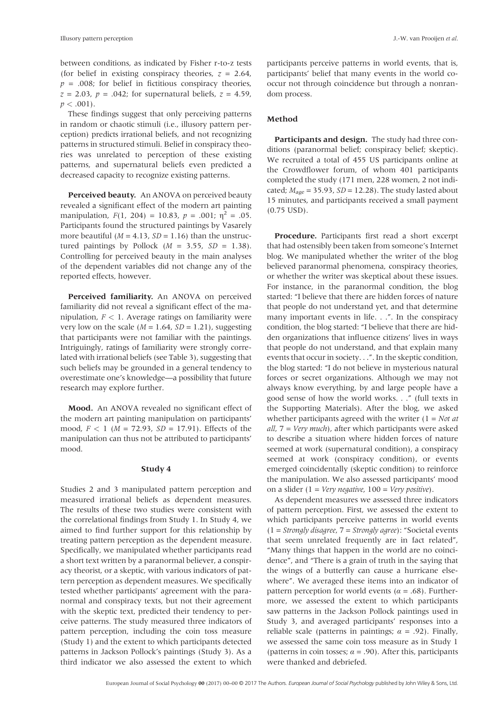between conditions, as indicated by Fisher r-to-z tests (for belief in existing conspiracy theories,  $z = 2.64$ ,  $p = .008$ ; for belief in fictitious conspiracy theories,  $z = 2.03$ ,  $p = .042$ ; for supernatural beliefs,  $z = 4.59$ ,  $p < .001$ ).

These findings suggest that only perceiving patterns in random or chaotic stimuli (i.e., illusory pattern perception) predicts irrational beliefs, and not recognizing patterns in structured stimuli. Belief in conspiracy theories was unrelated to perception of these existing patterns, and supernatural beliefs even predicted a decreased capacity to recognize existing patterns.

Perceived beauty. An ANOVA on perceived beauty revealed a significant effect of the modern art painting manipulation,  $F(1, 204) = 10.83$ ,  $p = .001$ ;  $\eta^2 = .05$ . Participants found the structured paintings by Vasarely more beautiful ( $M = 4.13$ ,  $SD = 1.16$ ) than the unstructured paintings by Pollock  $(M = 3.55, SD = 1.38)$ . Controlling for perceived beauty in the main analyses of the dependent variables did not change any of the reported effects, however.

Perceived familiarity. An ANOVA on perceived familiarity did not reveal a significant effect of the manipulation,  $F < 1$ . Average ratings on familiarity were very low on the scale ( $M = 1.64$ ,  $SD = 1.21$ ), suggesting that participants were not familiar with the paintings. Intriguingly, ratings of familiarity were strongly correlated with irrational beliefs (see Table 3), suggesting that such beliefs may be grounded in a general tendency to overestimate one's knowledge—a possibility that future research may explore further.

Mood. An ANOVA revealed no significant effect of the modern art painting manipulation on participants' mood,  $F < 1$  ( $M = 72.93$ ,  $SD = 17.91$ ). Effects of the manipulation can thus not be attributed to participants' mood.

#### Study 4

Studies 2 and 3 manipulated pattern perception and measured irrational beliefs as dependent measures. The results of these two studies were consistent with the correlational findings from Study 1. In Study 4, we aimed to find further support for this relationship by treating pattern perception as the dependent measure. Specifically, we manipulated whether participants read a short text written by a paranormal believer, a conspiracy theorist, or a skeptic, with various indicators of pattern perception as dependent measures. We specifically tested whether participants' agreement with the paranormal and conspiracy texts, but not their agreement with the skeptic text, predicted their tendency to perceive patterns. The study measured three indicators of pattern perception, including the coin toss measure (Study 1) and the extent to which participants detected patterns in Jackson Pollock's paintings (Study 3). As a third indicator we also assessed the extent to which

participants perceive patterns in world events, that is, participants' belief that many events in the world cooccur not through coincidence but through a nonrandom process.

#### Method

Participants and design. The study had three conditions (paranormal belief; conspiracy belief; skeptic). We recruited a total of 455 US participants online at the Crowdflower forum, of whom 401 participants completed the study (171 men, 228 women, 2 not indicated;  $M_{\text{age}} = 35.93$ ,  $SD = 12.28$ ). The study lasted about 15 minutes, and participants received a small payment (0.75 USD).

Procedure. Participants first read a short excerpt that had ostensibly been taken from someone's Internet blog. We manipulated whether the writer of the blog believed paranormal phenomena, conspiracy theories, or whether the writer was skeptical about these issues. For instance, in the paranormal condition, the blog started: "I believe that there are hidden forces of nature that people do not understand yet, and that determine many important events in life. . .". In the conspiracy condition, the blog started: "I believe that there are hidden organizations that influence citizens' lives in ways that people do not understand, and that explain many events that occur in society. . .". In the skeptic condition, the blog started: "I do not believe in mysterious natural forces or secret organizations. Although we may not always know everything, by and large people have a good sense of how the world works. . ." (full texts in the Supporting Materials). After the blog, we asked whether participants agreed with the writer  $(1 = Not at$  $all, 7 = Very much$ ), after which participants were asked to describe a situation where hidden forces of nature seemed at work (supernatural condition), a conspiracy seemed at work (conspiracy condition), or events emerged coincidentally (skeptic condition) to reinforce the manipulation. We also assessed participants' mood on a slider (1 = Very negative,  $100 = V$ ery positive).

As dependent measures we assessed three indicators of pattern perception. First, we assessed the extent to which participants perceive patterns in world events  $(1 = \text{Strongly disagree}, 7 = \text{Strongly agree}):$  "Societal events" that seem unrelated frequently are in fact related", "Many things that happen in the world are no coincidence", and "There is a grain of truth in the saying that the wings of a butterfly can cause a hurricane elsewhere". We averaged these items into an indicator of pattern perception for world events ( $\alpha$  = .68). Furthermore, we assessed the extent to which participants saw patterns in the Jackson Pollock paintings used in Study 3, and averaged participants' responses into a reliable scale (patterns in paintings;  $\alpha = .92$ ). Finally, we assessed the same coin toss measure as in Study 1 (patterns in coin tosses;  $\alpha$  = .90). After this, participants were thanked and debriefed.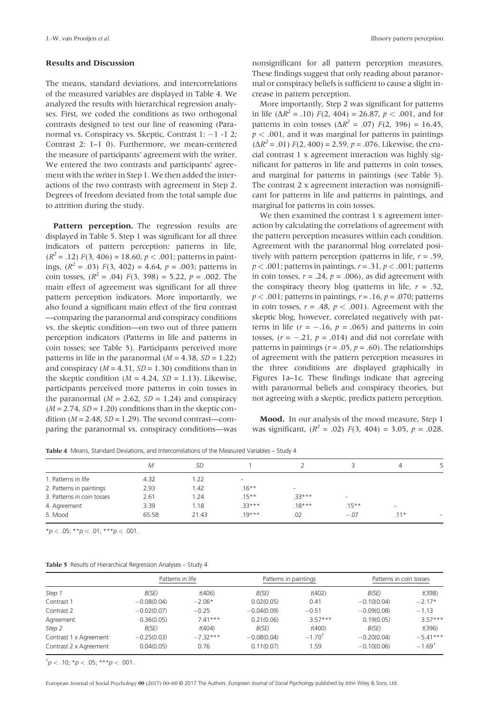#### Results and Discussion

The means, standard deviations, and intercorrelations of the measured variables are displayed in Table 4. We analyzed the results with hierarchical regression analyses. First, we coded the conditions as two orthogonal contrasts designed to test our line of reasoning (Paranormal vs. Conspiracy vs. Skeptic, Contrast  $1:-1$  -1 2; Contrast 2: 1–1 0). Furthermore, we mean-centered the measure of participants' agreement with the writer. We entered the two contrasts and participants' agreement with the writer in Step 1. We then added the interactions of the two contrasts with agreement in Step 2. Degrees of freedom deviated from the total sample due to attrition during the study.

Pattern perception. The regression results are displayed in Table 5. Step 1 was significant for all three indicators of pattern perception: patterns in life,  $(R<sup>2</sup> = .12) F(3, 406) = 18.60, p < .001$ ; patterns in paintings,  $(R^2 = .03) F(3, 402) = 4.64$ ,  $p = .003$ ; patterns in coin tosses,  $(R^2 = .04)$   $F(3, 398) = 5.22$ ,  $p = .002$ . The main effect of agreement was significant for all three pattern perception indicators. More importantly, we also found a significant main effect of the first contrast —comparing the paranormal and conspiracy conditions vs. the skeptic condition—on two out of three pattern perception indicators (Patterns in life and patterns in coin tosses; see Table 5). Participants perceived more patterns in life in the paranormal ( $M = 4.38$ ,  $SD = 1.22$ ) and conspiracy ( $M = 4.31$ ,  $SD = 1.30$ ) conditions than in the skeptic condition ( $M = 4.24$ ,  $SD = 1.13$ ). Likewise, participants perceived more patterns in coin tosses in the paranormal ( $M = 2.62$ ,  $SD = 1.24$ ) and conspiracy  $(M = 2.74, SD = 1.20)$  conditions than in the skeptic condition ( $M = 2.48$ ,  $SD = 1.29$ ). The second contrast—comparing the paranormal vs. conspiracy conditions—was nonsignificant for all pattern perception measures. These findings suggest that only reading about paranormal or conspiracy beliefs is sufficient to cause a slight increase in pattern perception.

More importantly, Step 2 was significant for patterns in life  $(\Delta R^2 = .10)$   $F(2, 404) = 26.87$ ,  $p < .001$ , and for patterns in coin tosses ( $\Delta R^2 = .07$ )  $F(2, 396) = 16.45$ ,  $p < .001$ , and it was marginal for patterns in paintings  $(\Delta R^2 = .01) F(2, 400) = 2.59$ ,  $p = .076$ . Likewise, the crucial contrast 1 x agreement interaction was highly significant for patterns in life and patterns in coin tosses, and marginal for patterns in paintings (see Table 5). The contrast 2 x agreement interaction was nonsignificant for patterns in life and patterns in paintings, and marginal for patterns in coin tosses.

We then examined the contrast 1 x agreement interaction by calculating the correlations of agreement with the pattern perception measures within each condition. Agreement with the paranormal blog correlated positively with pattern perception (patterns in life,  $r = .59$ ,  $p < .001$ ; patterns in paintings,  $r = .31$ ,  $p < .001$ ; patterns in coin tosses,  $r = .24$ ,  $p = .006$ ), as did agreement with the conspiracy theory blog (patterns in life,  $r = .52$ ,  $p < .001$ ; patterns in paintings,  $r = .16$ ,  $p = .070$ ; patterns in coin tosses,  $r = .48$ ,  $p < .001$ ). Agreement with the skeptic blog, however, correlated negatively with patterns in life  $(r = -.16, p = .065)$  and patterns in coin tosses,  $(r = -.21, p = .014)$  and did not correlate with patterns in paintings ( $r = .05$ ,  $p = .60$ ). The relationships of agreement with the pattern perception measures in the three conditions are displayed graphically in Figures 1a–1c. These findings indicate that agreeing with paranormal beliefs and conspiracy theories, but not agreeing with a skeptic, predicts pattern perception.

Mood. In our analysis of the mood measure, Step 1 was significant,  $(R^2 = .02)$   $F(3, 404) = 3.05$ ,  $p = .028$ .

Table 4 Means, Standard Deviations, and Intercorrelations of the Measured Variables – Study 4

|                            | M     | SD    |          |                          |                          | 4                        |                          |
|----------------------------|-------|-------|----------|--------------------------|--------------------------|--------------------------|--------------------------|
| 1. Patterns in life        | 4.32  | 1.22  | ۰        |                          |                          |                          |                          |
| 2. Patterns in paintings   | 2.93  | 1.42  | $.16***$ | $\overline{\phantom{a}}$ |                          |                          |                          |
| 3. Patterns in coin tosses | 2.61  | 1.24  | $.15***$ | $.33***$                 | $\overline{\phantom{a}}$ |                          |                          |
| 4. Agreement               | 3.39  | 1.18  | $.33***$ | $.18***$                 | $.15***$                 | $\overline{\phantom{a}}$ |                          |
| 5. Mood                    | 65.58 | 21.43 | $.19***$ | .02                      | $-.07$                   | $.11*$                   | $\overline{\phantom{a}}$ |

 $*p < .05; **p < .01; **p < .001.$ 

#### Table 5 Results of Hierarchical Regression Analyses - Study 4

|                        | Patterns in life |            | Patterns in paintings |                      | Patterns in coin tosses |                      |  |
|------------------------|------------------|------------|-----------------------|----------------------|-------------------------|----------------------|--|
| Step 1                 | B(SE)            | t(406)     | B(SE)                 | t(402)               | B(SE)                   | t(398)               |  |
| Contrast 1             | $-0.08(0.04)$    | $-2.06*$   | 0.02(0.05)            | 0.41                 | $-0.10(0.04)$           | $-2.17*$             |  |
| Contrast 2             | $-0.02(0.07)$    | $-0.25$    | $-0.04(0.09)$         | $-0.51$              | $-0.09(0.08)$           | $-1.13$              |  |
| Agreement              | 0.36(0.05)       | $7.41***$  | 0.21(0.06)            | $3.57***$            | 0.19(0.05)              | $3.57***$            |  |
| Step 2                 | B(SE)            | t(404)     | B(SE)                 | t(400)               | B(SE)                   | t(396)               |  |
| Contrast 1 x Agreement | $-0.25(0.03)$    | $-7.32***$ | $-0.08(0.04)$         | $-1.70$ <sup>'</sup> | $-0.20(0.04)$           | $-5.41***$           |  |
| Contrast 2 x Agreement | 0.04(0.05)       | 0.76       | 0.11(0.07)            | 1.59                 | $-0.10(0.06)$           | $-1.69$ <sup>t</sup> |  |

 $\phi^{\dagger}$ p < .10; \*p < .05; \*\*\*p < .001.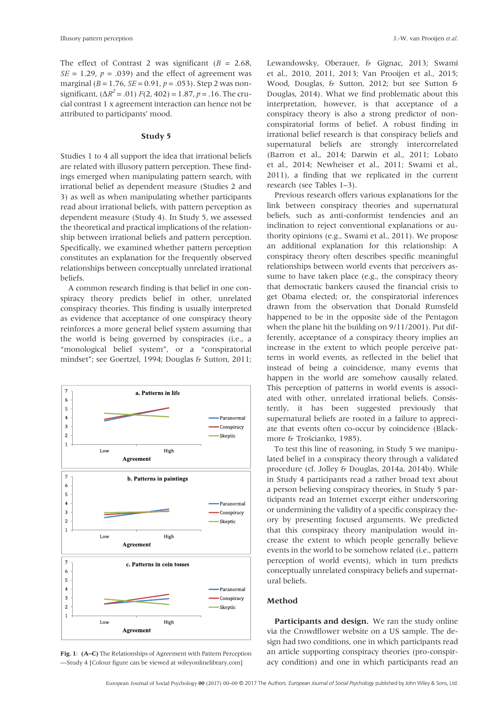The effect of Contrast 2 was significant  $(B = 2.68,$  $SE = 1.29$ ,  $p = .039$ ) and the effect of agreement was marginal ( $B = 1.76$ ,  $SE = 0.91$ ,  $p = .053$ ). Step 2 was nonsignificant,  $(\Delta R^2 = .01) F(2, 402) = 1.87, p = .16$ . The crucial contrast 1 x agreement interaction can hence not be attributed to participants' mood.

#### Study 5

Studies 1 to 4 all support the idea that irrational beliefs are related with illusory pattern perception. These findings emerged when manipulating pattern search, with irrational belief as dependent measure (Studies 2 and 3) as well as when manipulating whether participants read about irrational beliefs, with pattern perception as dependent measure (Study 4). In Study 5, we assessed the theoretical and practical implications of the relationship between irrational beliefs and pattern perception. Specifically, we examined whether pattern perception constitutes an explanation for the frequently observed relationships between conceptually unrelated irrational beliefs.

A common research finding is that belief in one conspiracy theory predicts belief in other, unrelated conspiracy theories. This finding is usually interpreted as evidence that acceptance of one conspiracy theory reinforces a more general belief system assuming that the world is being governed by conspiracies (i.e., a "monological belief system", or a "conspiratorial mindset"; see Goertzel, 1994; Douglas & Sutton, 2011;



Fig. 1: (A–C) The Relationships of Agreement with Pattern Perception —Study 4 [Colour figure can be viewed at [wileyonlinelibrary.com](http://wileyonlinelibrary.com)]

Lewandowsky, Oberauer, & Gignac, 2013; Swami et al., 2010, 2011, 2013; Van Prooijen et al., 2015; Wood, Douglas, & Sutton, 2012; but see Sutton & Douglas, 2014). What we find problematic about this interpretation, however, is that acceptance of a conspiracy theory is also a strong predictor of nonconspiratorial forms of belief. A robust finding in irrational belief research is that conspiracy beliefs and supernatural beliefs are strongly intercorrelated (Barron et al., 2014; Darwin et al., 2011; Lobato et al., 2014; Newheiser et al., 2011; Swami et al., 2011), a finding that we replicated in the current research (see Tables 1–3).

Previous research offers various explanations for the link between conspiracy theories and supernatural beliefs, such as anti-conformist tendencies and an inclination to reject conventional explanations or authority opinions (e.g., Swami et al., 2011). We propose an additional explanation for this relationship: A conspiracy theory often describes specific meaningful relationships between world events that perceivers assume to have taken place (e.g., the conspiracy theory that democratic bankers caused the financial crisis to get Obama elected; or, the conspiratorial inferences drawn from the observation that Donald Rumsfeld happened to be in the opposite side of the Pentagon when the plane hit the building on 9/11/2001). Put differently, acceptance of a conspiracy theory implies an increase in the extent to which people perceive patterns in world events, as reflected in the belief that instead of being a coincidence, many events that happen in the world are somehow causally related. This perception of patterns in world events is associated with other, unrelated irrational beliefs. Consistently, it has been suggested previously that supernatural beliefs are rooted in a failure to appreciate that events often co-occur by coincidence (Blackmore & Trościanko, 1985).

To test this line of reasoning, in Study 5 we manipulated belief in a conspiracy theory through a validated procedure (cf. Jolley & Douglas, 2014a, 2014b). While in Study 4 participants read a rather broad text about a person believing conspiracy theories, in Study 5 participants read an Internet excerpt either underscoring or undermining the validity of a specific conspiracy theory by presenting focused arguments. We predicted that this conspiracy theory manipulation would increase the extent to which people generally believe events in the world to be somehow related (i.e., pattern perception of world events), which in turn predicts conceptually unrelated conspiracy beliefs and supernatural beliefs.

#### Method

Participants and design. We ran the study online via the Crowdflower website on a US sample. The design had two conditions, one in which participants read an article supporting conspiracy theories (pro-conspiracy condition) and one in which participants read an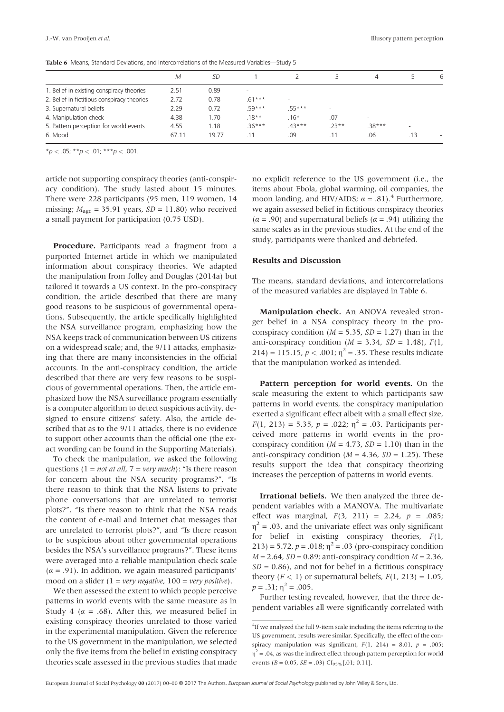|                                             | M     | SD    |          |                          |                          | 4                        |     | 6                        |
|---------------------------------------------|-------|-------|----------|--------------------------|--------------------------|--------------------------|-----|--------------------------|
| 1. Belief in existing conspiracy theories   | 2.51  | 0.89  | ۰        |                          |                          |                          |     |                          |
| 2. Belief in fictitious conspiracy theories | 2.72  | 0.78  | $.61***$ | $\overline{\phantom{a}}$ |                          |                          |     |                          |
| 3. Supernatural beliefs                     | 2.29  | 0.72  | $.59***$ | $.55***$                 | $\overline{\phantom{0}}$ |                          |     |                          |
| 4. Manipulation check                       | 4.38  | 1.70  | $.18***$ | $.16*$                   | .07                      | $\overline{\phantom{a}}$ |     |                          |
| 5. Pattern perception for world events      | 4.55  | 1.18  | $36***$  | $43***$                  | $23**$                   | $.38***$                 | -   |                          |
| 6. Mood                                     | 67.11 | 19.77 | .11      | .09                      | .11                      | .06                      | .13 | $\overline{\phantom{a}}$ |

Table 6 Means, Standard Deviations, and Intercorrelations of the Measured Variables—Study 5

 $**p* < .05; ***p* < .01; ***p* < .001.$ 

article not supporting conspiracy theories (anti-conspiracy condition). The study lasted about 15 minutes. There were 228 participants (95 men, 119 women, 14 missing;  $M_{\text{age}} = 35.91$  years,  $SD = 11.80$ ) who received a small payment for participation (0.75 USD).

**Procedure.** Participants read a fragment from a purported Internet article in which we manipulated information about conspiracy theories. We adapted the manipulation from Jolley and Douglas (2014a) but tailored it towards a US context. In the pro-conspiracy condition, the article described that there are many good reasons to be suspicious of governmental operations. Subsequently, the article specifically highlighted the NSA surveillance program, emphasizing how the NSA keeps track of communication between US citizens on a widespread scale; and, the 9/11 attacks, emphasizing that there are many inconsistencies in the official accounts. In the anti-conspiracy condition, the article described that there are very few reasons to be suspicious of governmental operations. Then, the article emphasized how the NSA surveillance program essentially is a computer algorithm to detect suspicious activity, designed to ensure citizens' safety. Also, the article described that as to the 9/11 attacks, there is no evidence to support other accounts than the official one (the exact wording can be found in the Supporting Materials).

To check the manipulation, we asked the following questions (1 = *not at all*, 7 = *very much*): "Is there reason for concern about the NSA security programs?", "Is there reason to think that the NSA listens to private phone conversations that are unrelated to terrorist plots?", "Is there reason to think that the NSA reads the content of e-mail and Internet chat messages that are unrelated to terrorist plots?", and "Is there reason to be suspicious about other governmental operations besides the NSA's surveillance programs?". These items were averaged into a reliable manipulation check scale  $(a = .91)$ . In addition, we again measured participants' mood on a slider (1 = very negative,  $100 = \text{very positive}$ ).

We then assessed the extent to which people perceive patterns in world events with the same measure as in Study 4 ( $\alpha$  = .68). After this, we measured belief in existing conspiracy theories unrelated to those varied in the experimental manipulation. Given the reference to the US government in the manipulation, we selected only the five items from the belief in existing conspiracy theories scale assessed in the previous studies that made

no explicit reference to the US government (i.e., the items about Ebola, global warming, oil companies, the moon landing, and HIV/AIDS;  $\alpha = .81$ ).<sup>4</sup> Furthermore, we again assessed belief in fictitious conspiracy theories  $(\alpha = .90)$  and supernatural beliefs  $(\alpha = .94)$  utilizing the same scales as in the previous studies. At the end of the study, participants were thanked and debriefed.

#### Results and Discussion

The means, standard deviations, and intercorrelations of the measured variables are displayed in Table 6.

Manipulation check. An ANOVA revealed stronger belief in a NSA conspiracy theory in the proconspiracy condition ( $M = 5.35$ ,  $SD = 1.27$ ) than in the anti-conspiracy condition ( $M = 3.34$ ,  $SD = 1.48$ ),  $F(1,$ 214) = 115.15,  $p < .001$ ;  $\eta^2 = .35$ . These results indicate that the manipulation worked as intended.

Pattern perception for world events. On the scale measuring the extent to which participants saw patterns in world events, the conspiracy manipulation exerted a significant effect albeit with a small effect size,  $F(1, 213) = 5.35$ ,  $p = .022$ ;  $\eta^2 = .03$ . Participants perceived more patterns in world events in the proconspiracy condition ( $M = 4.73$ ,  $SD = 1.10$ ) than in the anti-conspiracy condition ( $M = 4.36$ ,  $SD = 1.25$ ). These results support the idea that conspiracy theorizing increases the perception of patterns in world events.

Irrational beliefs. We then analyzed the three dependent variables with a MANOVA. The multivariate effect was marginal,  $F(3, 211) = 2.24$ ,  $p = .085$ ;  $\eta^2$  = .03, and the univariate effect was only significant for belief in existing conspiracy theories,  $F(1)$ , 213) = 5.72,  $p = .018$ ;  $\eta^2 = .03$  (pro-conspiracy condition  $M = 2.64$ ,  $SD = 0.89$ ; anti-conspiracy condition  $M = 2.36$ ,  $SD = 0.86$ ), and not for belief in a fictitious conspiracy theory ( $F < 1$ ) or supernatural beliefs,  $F(1, 213) = 1.05$ ,  $p = .31; \eta^2 = .005.$ 

Further testing revealed, however, that the three dependent variables all were significantly correlated with

<sup>&</sup>lt;sup>4</sup>If we analyzed the full 9-item scale including the items referring to the US government, results were similar. Specifically, the effect of the conspiracy manipulation was significant,  $F(1, 214) = 8.01$ ,  $p = .005$ ;  $\eta^2$  = .04, as was the indirect effect through pattern perception for world events ( $B = 0.05$ ,  $SE = .03$ ) CI<sub>95%</sub>[.01; 0.11].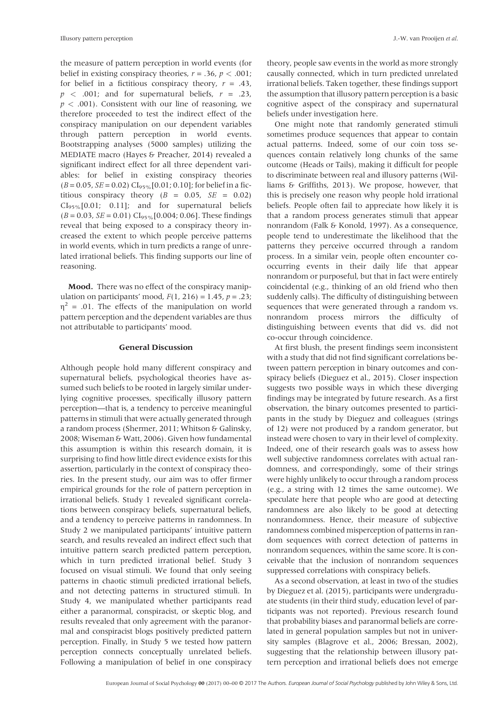the measure of pattern perception in world events (for belief in existing conspiracy theories,  $r = .36$ ,  $p < .001$ ; for belief in a fictitious conspiracy theory,  $r = .43$ ,  $p \sim .001$ ; and for supernatural beliefs,  $r = .23$ ,  $p < .001$ ). Consistent with our line of reasoning, we therefore proceeded to test the indirect effect of the conspiracy manipulation on our dependent variables through pattern perception in world events. Bootstrapping analyses (5000 samples) utilizing the MEDIATE macro (Hayes & Preacher, 2014) revealed a significant indirect effect for all three dependent variables: for belief in existing conspiracy theories  $(B = 0.05, SE = 0.02)$  CI<sub>95%</sub>[0.01; 0.10]; for belief in a fictitious conspiracy theory ( $B = 0.05$ ,  $SE = 0.02$ )  $CI<sub>95%</sub>[0.01; 0.11]$ ; and for supernatural beliefs  $(B = 0.03, SE = 0.01)$  CI<sub>95%</sub>[0.004; 0.06]. These findings reveal that being exposed to a conspiracy theory increased the extent to which people perceive patterns in world events, which in turn predicts a range of unrelated irrational beliefs. This finding supports our line of reasoning.

Mood. There was no effect of the conspiracy manipulation on participants' mood,  $F(1, 216) = 1.45$ ,  $p = .23$ ;  $\eta^2$  = .01. The effects of the manipulation on world pattern perception and the dependent variables are thus not attributable to participants' mood.

#### General Discussion

Although people hold many different conspiracy and supernatural beliefs, psychological theories have assumed such beliefs to be rooted in largely similar underlying cognitive processes, specifically illusory pattern perception—that is, a tendency to perceive meaningful patterns in stimuli that were actually generated through a random process (Shermer, 2011; Whitson & Galinsky, 2008; Wiseman & Watt, 2006). Given how fundamental this assumption is within this research domain, it is surprising to find how little direct evidence exists for this assertion, particularly in the context of conspiracy theories. In the present study, our aim was to offer firmer empirical grounds for the role of pattern perception in irrational beliefs. Study 1 revealed significant correlations between conspiracy beliefs, supernatural beliefs, and a tendency to perceive patterns in randomness. In Study 2 we manipulated participants' intuitive pattern search, and results revealed an indirect effect such that intuitive pattern search predicted pattern perception, which in turn predicted irrational belief. Study 3 focused on visual stimuli. We found that only seeing patterns in chaotic stimuli predicted irrational beliefs, and not detecting patterns in structured stimuli. In Study 4, we manipulated whether participants read either a paranormal, conspiracist, or skeptic blog, and results revealed that only agreement with the paranormal and conspiracist blogs positively predicted pattern perception. Finally, in Study 5 we tested how pattern perception connects conceptually unrelated beliefs. Following a manipulation of belief in one conspiracy

theory, people saw events in the world as more strongly causally connected, which in turn predicted unrelated irrational beliefs. Taken together, these findings support the assumption that illusory pattern perception is a basic cognitive aspect of the conspiracy and supernatural beliefs under investigation here.

One might note that randomly generated stimuli sometimes produce sequences that appear to contain actual patterns. Indeed, some of our coin toss sequences contain relatively long chunks of the same outcome (Heads or Tails), making it difficult for people to discriminate between real and illusory patterns (Williams & Griffiths, 2013). We propose, however, that this is precisely one reason why people hold irrational beliefs. People often fail to appreciate how likely it is that a random process generates stimuli that appear nonrandom (Falk & Konold, 1997). As a consequence, people tend to underestimate the likelihood that the patterns they perceive occurred through a random process. In a similar vein, people often encounter cooccurring events in their daily life that appear nonrandom or purposeful, but that in fact were entirely coincidental (e.g., thinking of an old friend who then suddenly calls). The difficulty of distinguishing between sequences that were generated through a random vs. nonrandom process mirrors the difficulty of distinguishing between events that did vs. did not co-occur through coincidence.

At first blush, the present findings seem inconsistent with a study that did not find significant correlations between pattern perception in binary outcomes and conspiracy beliefs (Dieguez et al., 2015). Closer inspection suggests two possible ways in which these diverging findings may be integrated by future research. As a first observation, the binary outcomes presented to participants in the study by Dieguez and colleagues (strings of 12) were not produced by a random generator, but instead were chosen to vary in their level of complexity. Indeed, one of their research goals was to assess how well subjective randomness correlates with actual randomness, and correspondingly, some of their strings were highly unlikely to occur through a random process (e.g., a string with 12 times the same outcome). We speculate here that people who are good at detecting randomness are also likely to be good at detecting nonrandomness. Hence, their measure of subjective randomness combined misperception of patterns in random sequences with correct detection of patterns in nonrandom sequences, within the same score. It is conceivable that the inclusion of nonrandom sequences suppressed correlations with conspiracy beliefs.

As a second observation, at least in two of the studies by Dieguez et al. (2015), participants were undergraduate students (in their third study, education level of participants was not reported). Previous research found that probability biases and paranormal beliefs are correlated in general population samples but not in university samples (Blagrove et al., 2006; Bressan, 2002), suggesting that the relationship between illusory pattern perception and irrational beliefs does not emerge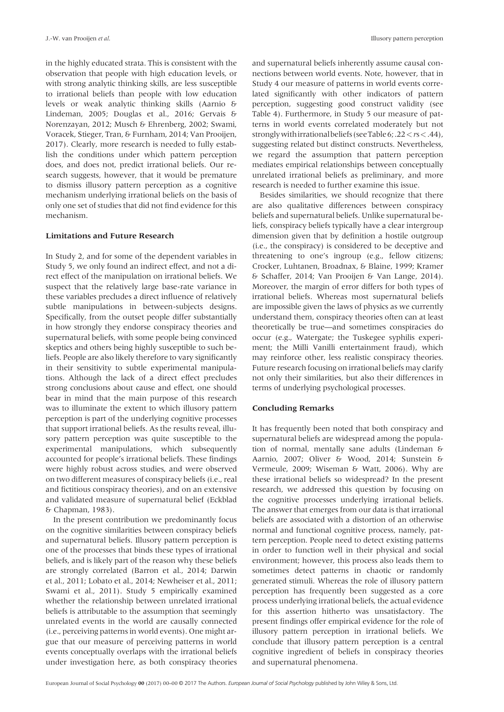in the highly educated strata. This is consistent with the observation that people with high education levels, or with strong analytic thinking skills, are less susceptible to irrational beliefs than people with low education levels or weak analytic thinking skills (Aarnio & Lindeman, 2005; Douglas et al., 2016; Gervais & Norenzayan, 2012; Musch & Ehrenberg, 2002; Swami, Voracek, Stieger, Tran, & Furnham, 2014; Van Prooijen, 2017). Clearly, more research is needed to fully establish the conditions under which pattern perception does, and does not, predict irrational beliefs. Our research suggests, however, that it would be premature to dismiss illusory pattern perception as a cognitive mechanism underlying irrational beliefs on the basis of only one set of studies that did not find evidence for this mechanism.

#### Limitations and Future Research

In Study 2, and for some of the dependent variables in Study 5, we only found an indirect effect, and not a direct effect of the manipulation on irrational beliefs. We suspect that the relatively large base-rate variance in these variables precludes a direct influence of relatively subtle manipulations in between-subjects designs. Specifically, from the outset people differ substantially in how strongly they endorse conspiracy theories and supernatural beliefs, with some people being convinced skeptics and others being highly susceptible to such beliefs. People are also likely therefore to vary significantly in their sensitivity to subtle experimental manipulations. Although the lack of a direct effect precludes strong conclusions about cause and effect, one should bear in mind that the main purpose of this research was to illuminate the extent to which illusory pattern perception is part of the underlying cognitive processes that support irrational beliefs. As the results reveal, illusory pattern perception was quite susceptible to the experimental manipulations, which subsequently accounted for people's irrational beliefs. These findings were highly robust across studies, and were observed on two different measures of conspiracy beliefs (i.e., real and fictitious conspiracy theories), and on an extensive and validated measure of supernatural belief (Eckblad & Chapman, 1983).

In the present contribution we predominantly focus on the cognitive similarities between conspiracy beliefs and supernatural beliefs. Illusory pattern perception is one of the processes that binds these types of irrational beliefs, and is likely part of the reason why these beliefs are strongly correlated (Barron et al., 2014; Darwin et al., 2011; Lobato et al., 2014; Newheiser et al., 2011; Swami et al., 2011). Study 5 empirically examined whether the relationship between unrelated irrational beliefs is attributable to the assumption that seemingly unrelated events in the world are causally connected (i.e., perceiving patterns in world events). One might argue that our measure of perceiving patterns in world events conceptually overlaps with the irrational beliefs under investigation here, as both conspiracy theories

and supernatural beliefs inherently assume causal connections between world events. Note, however, that in Study 4 our measure of patterns in world events correlated significantly with other indicators of pattern perception, suggesting good construct validity (see Table 4). Furthermore, in Study 5 our measure of patterns in world events correlated moderately but not strongly with irrational beliefs (see Table 6; .22 <  $rs$  < .44), suggesting related but distinct constructs. Nevertheless, we regard the assumption that pattern perception mediates empirical relationships between conceptually unrelated irrational beliefs as preliminary, and more research is needed to further examine this issue.

Besides similarities, we should recognize that there are also qualitative differences between conspiracy beliefs and supernatural beliefs. Unlike supernatural beliefs, conspiracy beliefs typically have a clear intergroup dimension given that by definition a hostile outgroup (i.e., the conspiracy) is considered to be deceptive and threatening to one's ingroup (e.g., fellow citizens; Crocker, Luhtanen, Broadnax, & Blaine, 1999; Kramer & Schaffer, 2014; Van Prooijen & Van Lange, 2014). Moreover, the margin of error differs for both types of irrational beliefs. Whereas most supernatural beliefs are impossible given the laws of physics as we currently understand them, conspiracy theories often can at least theoretically be true—and sometimes conspiracies do occur (e.g., Watergate; the Tuskegee syphilis experiment; the Milli Vanilli entertainment fraud), which may reinforce other, less realistic conspiracy theories. Future research focusing on irrational beliefs may clarify not only their similarities, but also their differences in terms of underlying psychological processes.

#### Concluding Remarks

It has frequently been noted that both conspiracy and supernatural beliefs are widespread among the population of normal, mentally sane adults (Lindeman & Aarnio, 2007; Oliver & Wood, 2014; Sunstein & Vermeule, 2009; Wiseman & Watt, 2006). Why are these irrational beliefs so widespread? In the present research, we addressed this question by focusing on the cognitive processes underlying irrational beliefs. The answer that emerges from our data is that irrational beliefs are associated with a distortion of an otherwise normal and functional cognitive process, namely, pattern perception. People need to detect existing patterns in order to function well in their physical and social environment; however, this process also leads them to sometimes detect patterns in chaotic or randomly generated stimuli. Whereas the role of illusory pattern perception has frequently been suggested as a core process underlying irrational beliefs, the actual evidence for this assertion hitherto was unsatisfactory. The present findings offer empirical evidence for the role of illusory pattern perception in irrational beliefs. We conclude that illusory pattern perception is a central cognitive ingredient of beliefs in conspiracy theories and supernatural phenomena.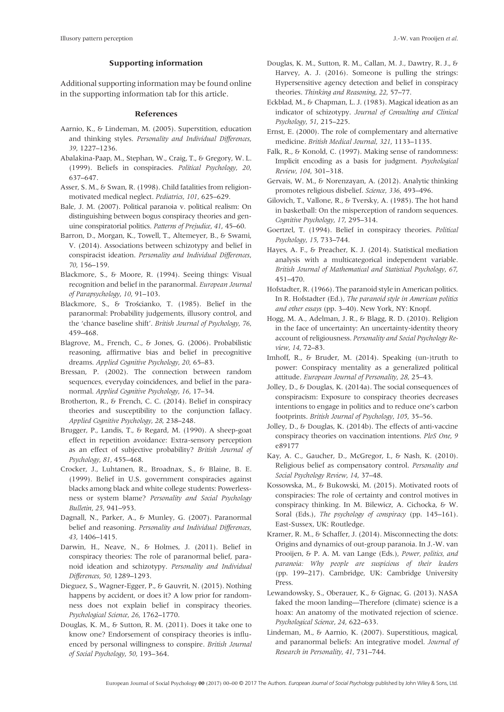#### Supporting information

Additional supporting information may be found online in the supporting information tab for this article.

#### References

- Aarnio, K., & Lindeman, M. (2005). Superstition, education and thinking styles. Personality and Individual Differences, 39, 1227–1236.
- Abalakina-Paap, M., Stephan, W., Craig, T., & Gregory, W. L. (1999). Beliefs in conspiracies. Political Psychology, 20, 637–647.
- Asser, S. M., & Swan, R. (1998). Child fatalities from religionmotivated medical neglect. Pediatrics, 101, 625–629.
- Bale, J. M. (2007). Political paranoia v. political realism: On distinguishing between bogus conspiracy theories and genuine conspiratorial politics. Patterns of Prejudice, 41, 45–60.
- Barron, D., Morgan, K., Towell, T., Altemeyer, B., & Swami, V. (2014). Associations between schizotypy and belief in conspiracist ideation. Personality and Individual Differences, 70, 156–159.
- Blackmore, S., & Moore, R. (1994). Seeing things: Visual recognition and belief in the paranormal. European Journal of Parapsychology, 10, 91–103.
- Blackmore, S., & Trościanko, T. (1985). Belief in the paranormal: Probability judgements, illusory control, and the 'chance baseline shift'. British Journal of Psychology, 76, 459–468.
- Blagrove, M., French, C., & Jones, G. (2006). Probabilistic reasoning, affirmative bias and belief in precognitive dreams. Applied Cognitive Psychology, 20, 65–83.
- Bressan, P. (2002). The connection between random sequences, everyday coincidences, and belief in the paranormal. Applied Cognitive Psychology, 16, 17–34.
- Brotherton, R., & French, C. C. (2014). Belief in conspiracy theories and susceptibility to the conjunction fallacy. Applied Cognitive Psychology, 28, 238–248.
- Brugger, P., Landis, T., & Regard, M. (1990). A sheep-goat effect in repetition avoidance: Extra-sensory perception as an effect of subjective probability? British Journal of Psychology, 81, 455–468.
- Crocker, J., Luhtanen, R., Broadnax, S., & Blaine, B. E. (1999). Belief in U.S. government conspiracies against blacks among black and white college students: Powerlessness or system blame? Personality and Social Psychology Bulletin, 25, 941–953.
- Dagnall, N., Parker, A., & Munley, G. (2007). Paranormal belief and reasoning. Personality and Individual Differences, 43, 1406–1415.
- Darwin, H., Neave, N., & Holmes, J. (2011). Belief in conspiracy theories: The role of paranormal belief, paranoid ideation and schizotypy. Personality and Individual Differences, 50, 1289–1293.
- Dieguez, S., Wagner-Egger, P., & Gauvrit, N. (2015). Nothing happens by accident, or does it? A low prior for randomness does not explain belief in conspiracy theories. Psychological Science, 26, 1762–1770.
- Douglas, K. M., & Sutton, R. M. (2011). Does it take one to know one? Endorsement of conspiracy theories is influenced by personal willingness to conspire. British Journal of Social Psychology, 50, 193–364.
- Douglas, K. M., Sutton, R. M., Callan, M. J., Dawtry, R. J., & Harvey, A. J. (2016). Someone is pulling the strings: Hypersensitive agency detection and belief in conspiracy theories. Thinking and Reasoning, 22, 57–77.
- Eckblad, M., & Chapman, L. J. (1983). Magical ideation as an indicator of schizotypy. Journal of Consulting and Clinical Psychology, 51, 215–225.
- Ernst, E. (2000). The role of complementary and alternative medicine. British Medical Journal, 321, 1133–1135.
- Falk, R., & Konold, C. (1997). Making sense of randomness: Implicit encoding as a basis for judgment. Psychological Review, 104, 301–318.
- Gervais, W. M., & Norenzayan, A. (2012). Analytic thinking promotes religious disbelief. Science, 336, 493–496.
- Gilovich, T., Vallone, R., & Tversky, A. (1985). The hot hand in basketball: On the misperception of random sequences. Cognitive Psychology, 17, 295–314.
- Goertzel, T. (1994). Belief in conspiracy theories. Political Psychology, 15, 733–744.
- Hayes, A. F., & Preacher, K. J. (2014). Statistical mediation analysis with a multicategorical independent variable. British Journal of Mathematical and Statistical Psychology, 67, 451–470.
- Hofstadter, R. (1966). The paranoid style in American politics. In R. Hofstadter (Ed.), The paranoid style in American politics and other essays (pp. 3–40). New York, NY: Knopf.
- Hogg, M. A., Adelman, J. R., & Blagg, R. D. (2010). Religion in the face of uncertainty: An uncertainty-identity theory account of religiousness. Personality and Social Psychology Review, 14, 72–83.
- Imhoff, R., & Bruder, M. (2014). Speaking (un-)truth to power: Conspiracy mentality as a generalized political attitude. European Journal of Personality, 28, 25–43.
- Jolley, D., & Douglas, K. (2014a). The social consequences of conspiracism: Exposure to conspiracy theories decreases intentions to engage in politics and to reduce one's carbon footprints. British Journal of Psychology, 105, 35–56.
- Jolley, D., & Douglas, K. (2014b). The effects of anti-vaccine conspiracy theories on vaccination intentions. PloS One, 9 e89177
- Kay, A. C., Gaucher, D., McGregor, I., & Nash, K. (2010). Religious belief as compensatory control. Personality and Social Psychology Review, 14, 37–48.
- Kossowska, M., & Bukowski, M. (2015). Motivated roots of conspiracies: The role of certainty and control motives in conspiracy thinking. In M. Bilewicz, A. Cichocka, & W. Soral (Eds.), The psychology of conspiracy (pp. 145–161). East-Sussex, UK: Routledge.
- Kramer, R. M., & Schaffer, J. (2014). Misconnecting the dots: Origins and dynamics of out-group paranoia. In J.-W. van Prooijen, & P. A. M. van Lange (Eds.), Power, politics, and paranoia: Why people are suspicious of their leaders (pp. 199–217). Cambridge, UK: Cambridge University Press.
- Lewandowsky, S., Oberauer, K., & Gignac, G. (2013). NASA faked the moon landing—Therefore (climate) science is a hoax: An anatomy of the motivated rejection of science. Psychological Science, 24, 622–633.
- Lindeman, M., & Aarnio, K. (2007). Superstitious, magical, and paranormal beliefs: An integrative model. Journal of Research in Personality, 41, 731–744.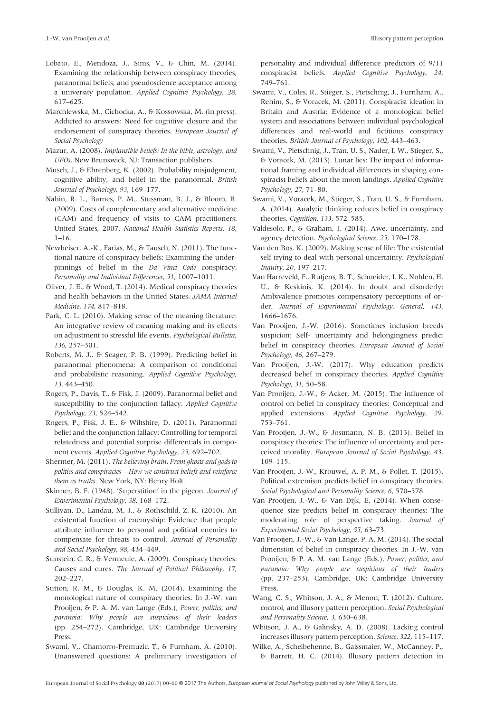- Lobato, E., Mendoza, J., Sims, V., & Chin, M. (2014). Examining the relationship between conspiracy theories, paranormal beliefs, and pseudoscience acceptance among a university population. Applied Cognitive Psychology, 28, 617–625.
- Marchlewska, M., Cichocka, A., & Kossowska, M. (in press). Addicted to answers: Need for cognitive closure and the endorsement of conspiracy theories. European Journal of Social Psychology
- Mazur, A. (2008). Implausible beliefs: In the bible, astrology, and UFOs. New Brunswick, NJ: Transaction publishers.
- Musch, J., & Ehrenberg, K. (2002). Probability misjudgment, cognitive ability, and belief in the paranormal. British Journal of Psychology, 93, 169–177.
- Nahin, R. L., Barnes, P. M., Stussman, B. J., & Bloom, B. (2009). Costs of complementary and alternative medicine (CAM) and frequency of visits to CAM practitioners: United States, 2007. National Health Statistics Reports, 18,  $1-16$ .
- Newheiser, A.-K., Farias, M., & Tausch, N. (2011). The functional nature of conspiracy beliefs: Examining the underpinnings of belief in the Da Vinci Code conspiracy. Personality and Individual Differences, 51, 1007–1011.
- Oliver, J. E., & Wood, T. (2014). Medical conspiracy theories and health behaviors in the United States. JAMA Internal Medicine, 174, 817–818.
- Park, C. L. (2010). Making sense of the meaning literature: An integrative review of meaning making and its effects on adjustment to stressful life events. Psychological Bulletin, 136, 257–301.
- Roberts, M. J., & Seager, P. B. (1999). Predicting belief in paranormal phenomena: A comparison of conditional and probabilistic reasoning. Applied Cognitive Psychology, 13, 443–450.
- Rogers, P., Davis, T., & Fisk, J. (2009). Paranormal belief and susceptibility to the conjunction fallacy. Applied Cognitive Psychology, 23, 524–542.
- Rogers, P., Fisk, J. E., & Wiltshire, D. (2011). Paranormal belief and the conjunction fallacy: Controlling for temporal relatedness and potential surprise differentials in component events. Applied Cognitive Psychology, 25, 692–702.
- Shermer, M. (2011). The believing brain: From ghosts and gods to politics and conspiracies—How we construct beliefs and reinforce them as truths. New York, NY: Henry Holt.
- Skinner, B. F. (1948). 'Superstition' in the pigeon. Journal of Experimental Psychology, 38, 168–172.
- Sullivan, D., Landau, M. J., & Rothschild, Z. K. (2010). An existential function of enemyship: Evidence that people attribute influence to personal and political enemies to compensate for threats to control. Journal of Personality and Social Psychology, 98, 434–449.
- Sunstein, C. R., & Vermeule, A. (2009). Conspiracy theories: Causes and cures. The Journal of Political Philosophy, 17, 202–227.
- Sutton, R. M., & Douglas, K. M. (2014). Examining the monological nature of conspiracy theories. In J.-W. van Prooijen, & P. A. M. van Lange (Eds.), Power, politics, and paranoia: Why people are suspicious of their leaders (pp. 254–272). Cambridge, UK: Cambridge University Press.
- Swami, V., Chamorro-Premuzic, T., & Furnham, A. (2010). Unanswered questions: A preliminary investigation of

personality and individual difference predictors of 9/11 conspiracist beliefs. Applied Cognitive Psychology, 24, 749–761.

- Swami, V., Coles, R., Stieger, S., Pietschnig, J., Furnham, A., Rehim, S., & Voracek, M. (2011). Conspiracist ideation in Britain and Austria: Evidence of a monological belief system and associations between individual psychological differences and real-world and fictitious conspiracy theories. British Journal of Psychology, 102, 443–463.
- Swami, V., Pietschnig, J., Tran, U. S., Nader, I. W., Stieger, S., & Voracek, M. (2013). Lunar lies: The impact of informational framing and individual differences in shaping conspiracist beliefs about the moon landings. Applied Cognitive Psychology, 27, 71–80.
- Swami, V., Voracek, M., Stieger, S., Tran, U. S., & Furnham, A. (2014). Analytic thinking reduces belief in conspiracy theories. Cognition, 133, 572–585.
- Valdesolo, P., & Graham, J. (2014). Awe, uncertainty, and agency detection. Psychological Science, 25, 170–178.
- Van den Bos, K. (2009). Making sense of life: The existential self trying to deal with personal uncertainty. Psychological Inquiry, 20, 197–217.
- Van Harreveld, F., Rutjens, B. T., Schneider, I. K., Nohlen, H. U., & Keskinis, K. (2014). In doubt and disorderly: Ambivalence promotes compensatory perceptions of order. Journal of Experimental Psychology: General, 143, 1666–1676.
- Van Prooijen, J.-W. (2016). Sometimes inclusion breeds suspicion: Self- uncertainty and belongingness predict belief in conspiracy theories. European Journal of Social Psychology, 46, 267–279.
- Van Prooijen, J.-W. (2017). Why education predicts decreased belief in conspiracy theories. Applied Cognitive Psychology, 31, 50–58.
- Van Prooijen, J.-W., & Acker, M. (2015). The influence of control on belief in conspiracy theories: Conceptual and applied extensions. Applied Cognitive Psychology, 29, 753–761.
- Van Prooijen, J.-W., & Jostmann, N. B. (2013). Belief in conspiracy theories: The influence of uncertainty and perceived morality. European Journal of Social Psychology, 43, 109–115.
- Van Prooijen, J.-W., Krouwel, A. P. M., & Pollet, T. (2015). Political extremism predicts belief in conspiracy theories. Social Psychological and Personality Science, 6, 570–578.
- Van Prooijen, J.-W., & Van Dijk, E. (2014). When consequence size predicts belief in conspiracy theories: The moderating role of perspective taking. Journal of Experimental Social Psychology, 55, 63–73.
- Van Prooijen, J.-W., & Van Lange, P. A. M. (2014). The social dimension of belief in conspiracy theories. In J.-W. van Prooijen, & P. A. M. van Lange (Eds.), Power, politics, and paranoia: Why people are suspicious of their leaders (pp. 237–253). Cambridge, UK: Cambridge University Press.
- Wang, C. S., Whitson, J. A., & Menon, T. (2012). Culture, control, and illusory pattern perception. Social Psychological and Personality Science, 3, 630–638.
- Whitson, J. A., & Galinsky, A. D. (2008). Lacking control increases illusory pattern perception. Science, 322, 115–117.
- Wilke, A., Scheibehenne, B., Gaissmaier, W., McCanney, P., & Barrett, H. C. (2014). Illusory pattern detection in